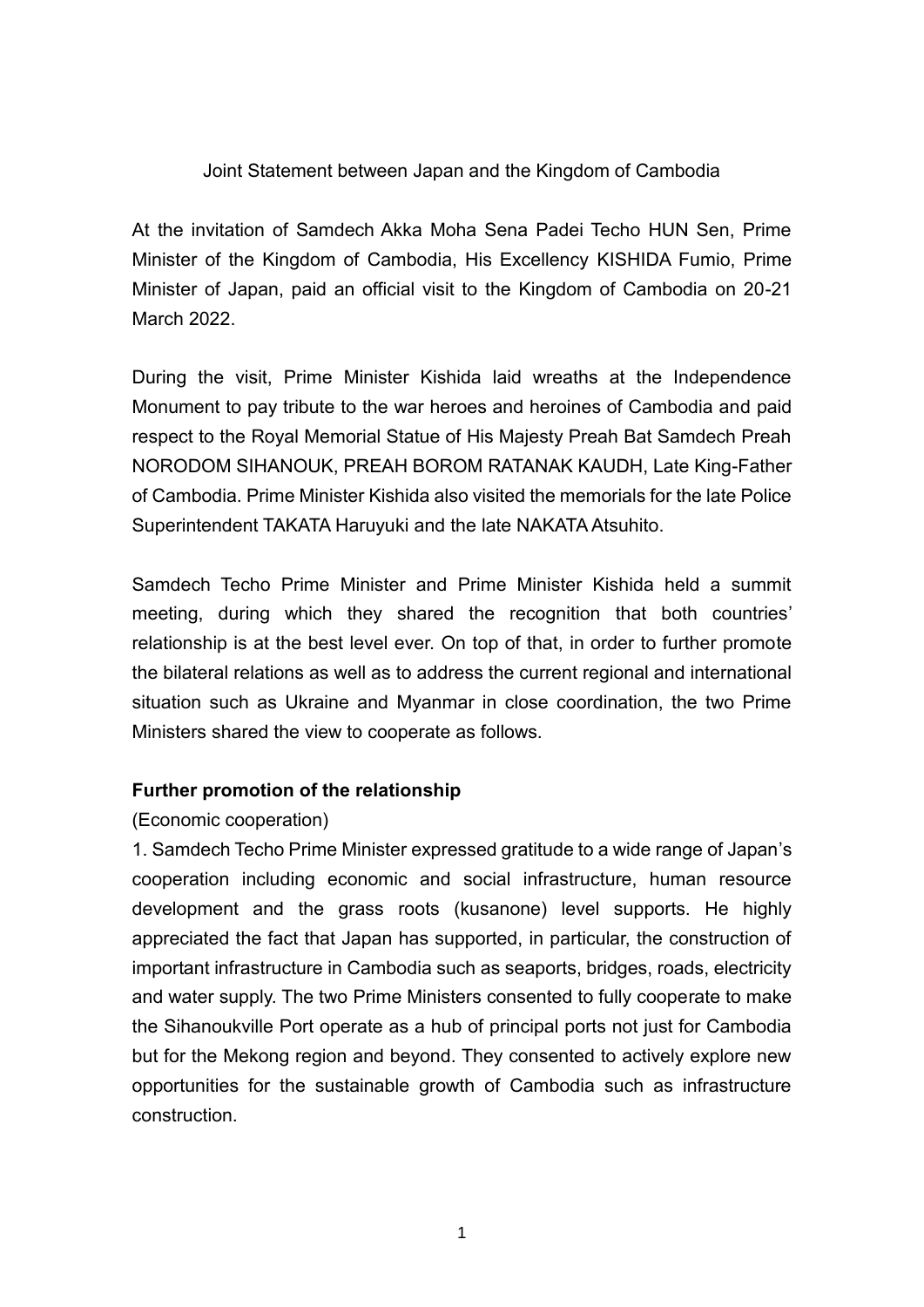## Joint Statement between Japan and the Kingdom of Cambodia

At the invitation of Samdech Akka Moha Sena Padei Techo HUN Sen, Prime Minister of the Kingdom of Cambodia, His Excellency KISHIDA Fumio, Prime Minister of Japan, paid an official visit to the Kingdom of Cambodia on 20-21 March 2022.

During the visit, Prime Minister Kishida laid wreaths at the Independence Monument to pay tribute to the war heroes and heroines of Cambodia and paid respect to the Royal Memorial Statue of His Majesty Preah Bat Samdech Preah NORODOM SIHANOUK, PREAH BOROM RATANAK KAUDH, Late King-Father of Cambodia. Prime Minister Kishida also visited the memorials for the late Police Superintendent TAKATA Haruyuki and the late NAKATA Atsuhito.

Samdech Techo Prime Minister and Prime Minister Kishida held a summit meeting, during which they shared the recognition that both countries' relationship is at the best level ever. On top of that, in order to further promote the bilateral relations as well as to address the current regional and international situation such as Ukraine and Myanmar in close coordination, the two Prime Ministers shared the view to cooperate as follows.

## **Further promotion of the relationship**

(Economic cooperation)

1. Samdech Techo Prime Minister expressed gratitude to a wide range of Japan's cooperation including economic and social infrastructure, human resource development and the grass roots (kusanone) level supports. He highly appreciated the fact that Japan has supported, in particular, the construction of important infrastructure in Cambodia such as seaports, bridges, roads, electricity and water supply. The two Prime Ministers consented to fully cooperate to make the Sihanoukville Port operate as a hub of principal ports not just for Cambodia but for the Mekong region and beyond. They consented to actively explore new opportunities for the sustainable growth of Cambodia such as infrastructure construction.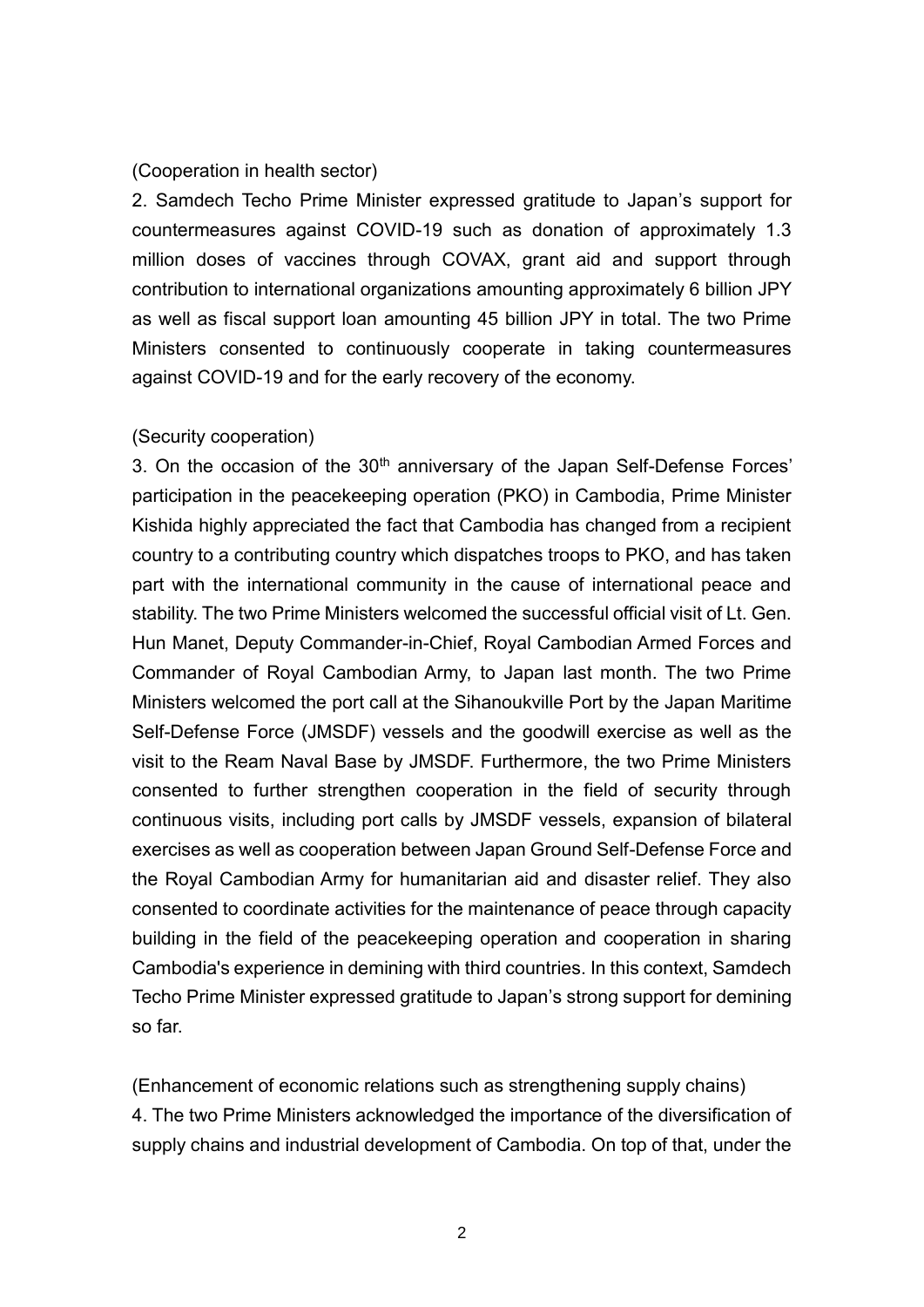#### (Cooperation in health sector)

2. Samdech Techo Prime Minister expressed gratitude to Japan's support for countermeasures against COVID-19 such as donation of approximately 1.3 million doses of vaccines through COVAX, grant aid and support through contribution to international organizations amounting approximately 6 billion JPY as well as fiscal support loan amounting 45 billion JPY in total. The two Prime Ministers consented to continuously cooperate in taking countermeasures against COVID-19 and for the early recovery of the economy.

#### (Security cooperation)

3. On the occasion of the  $30<sup>th</sup>$  anniversary of the Japan Self-Defense Forces' participation in the peacekeeping operation (PKO) in Cambodia, Prime Minister Kishida highly appreciated the fact that Cambodia has changed from a recipient country to a contributing country which dispatches troops to PKO, and has taken part with the international community in the cause of international peace and stability. The two Prime Ministers welcomed the successful official visit of Lt. Gen. Hun Manet, Deputy Commander-in-Chief, Royal Cambodian Armed Forces and Commander of Royal Cambodian Army, to Japan last month. The two Prime Ministers welcomed the port call at the Sihanoukville Port by the Japan Maritime Self-Defense Force (JMSDF) vessels and the goodwill exercise as well as the visit to the Ream Naval Base by JMSDF. Furthermore, the two Prime Ministers consented to further strengthen cooperation in the field of security through continuous visits, including port calls by JMSDF vessels, expansion of bilateral exercises as well as cooperation between Japan Ground Self-Defense Force and the Royal Cambodian Army for humanitarian aid and disaster relief. They also consented to coordinate activities for the maintenance of peace through capacity building in the field of the peacekeeping operation and cooperation in sharing Cambodia's experience in demining with third countries. In this context, Samdech Techo Prime Minister expressed gratitude to Japan's strong support for demining so far.

(Enhancement of economic relations such as strengthening supply chains) 4. The two Prime Ministers acknowledged the importance of the diversification of supply chains and industrial development of Cambodia. On top of that, under the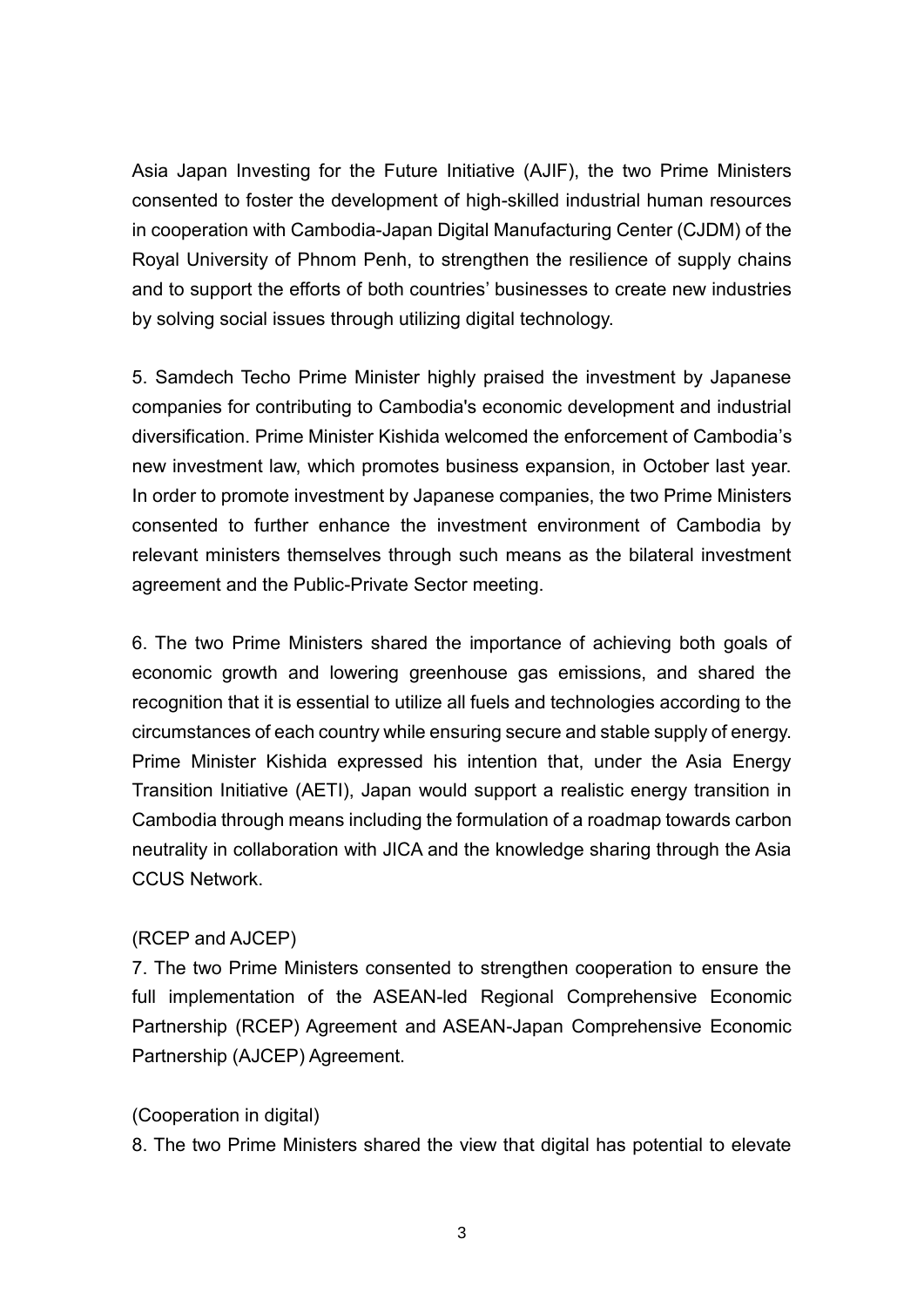Asia Japan Investing for the Future Initiative (AJIF), the two Prime Ministers consented to foster the development of high-skilled industrial human resources in cooperation with Cambodia-Japan Digital Manufacturing Center (CJDM) of the Royal University of Phnom Penh, to strengthen the resilience of supply chains and to support the efforts of both countries' businesses to create new industries by solving social issues through utilizing digital technology.

5. Samdech Techo Prime Minister highly praised the investment by Japanese companies for contributing to Cambodia's economic development and industrial diversification. Prime Minister Kishida welcomed the enforcement of Cambodia's new investment law, which promotes business expansion, in October last year. In order to promote investment by Japanese companies, the two Prime Ministers consented to further enhance the investment environment of Cambodia by relevant ministers themselves through such means as the bilateral investment agreement and the Public-Private Sector meeting.

6. The two Prime Ministers shared the importance of achieving both goals of economic growth and lowering greenhouse gas emissions, and shared the recognition that it is essential to utilize all fuels and technologies according to the circumstances of each country while ensuring secure and stable supply of energy. Prime Minister Kishida expressed his intention that, under the Asia Energy Transition Initiative (AETI), Japan would support a realistic energy transition in Cambodia through means including the formulation of a roadmap towards carbon neutrality in collaboration with JICA and the knowledge sharing through the Asia CCUS Network.

# (RCEP and AJCEP)

7. The two Prime Ministers consented to strengthen cooperation to ensure the full implementation of the ASEAN-led Regional Comprehensive Economic Partnership (RCEP) Agreement and ASEAN-Japan Comprehensive Economic Partnership (AJCEP) Agreement.

## (Cooperation in digital)

8. The two Prime Ministers shared the view that digital has potential to elevate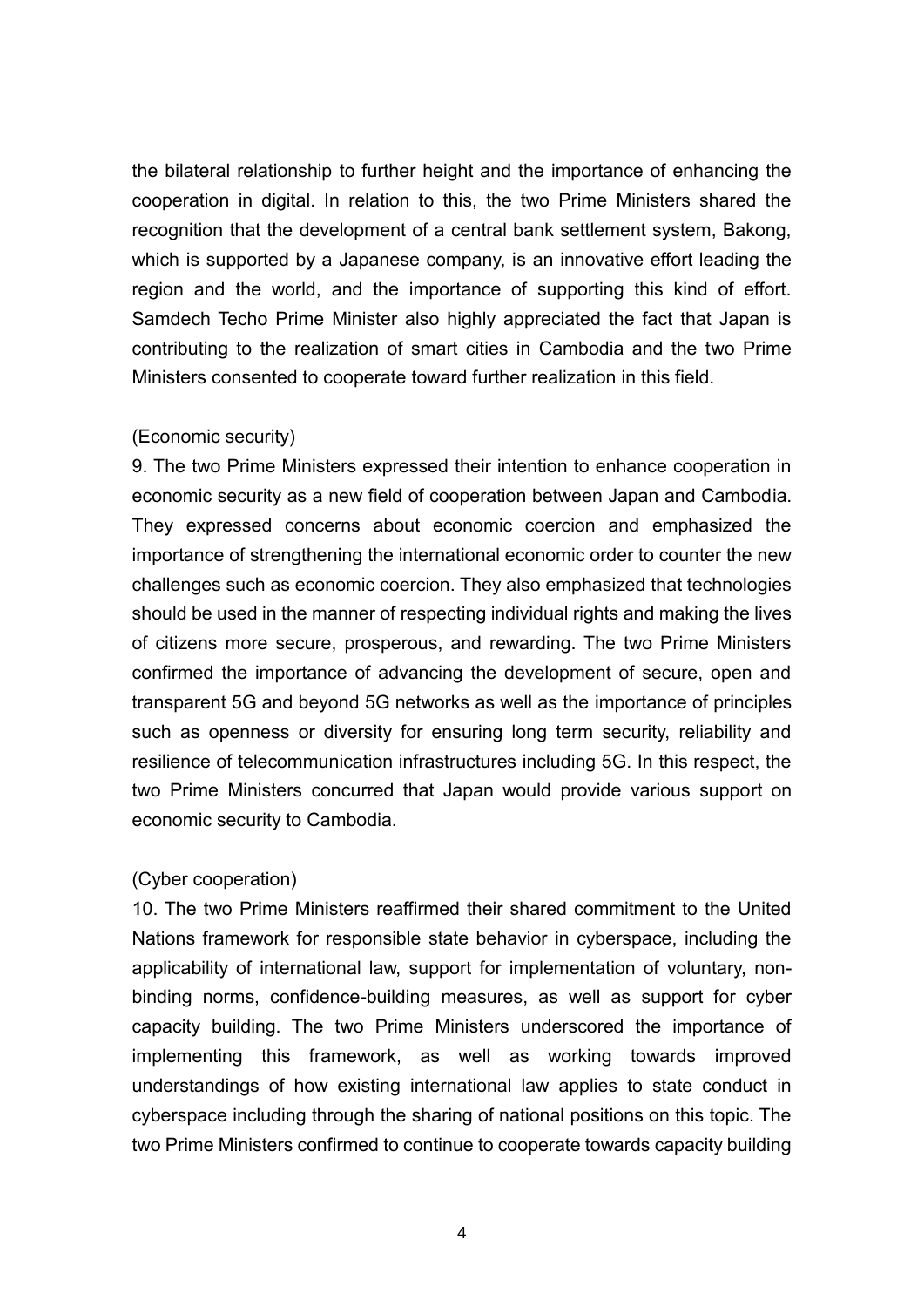the bilateral relationship to further height and the importance of enhancing the cooperation in digital. In relation to this, the two Prime Ministers shared the recognition that the development of a central bank settlement system, Bakong, which is supported by a Japanese company, is an innovative effort leading the region and the world, and the importance of supporting this kind of effort. Samdech Techo Prime Minister also highly appreciated the fact that Japan is contributing to the realization of smart cities in Cambodia and the two Prime Ministers consented to cooperate toward further realization in this field.

### (Economic security)

9. The two Prime Ministers expressed their intention to enhance cooperation in economic security as a new field of cooperation between Japan and Cambodia. They expressed concerns about economic coercion and emphasized the importance of strengthening the international economic order to counter the new challenges such as economic coercion. They also emphasized that technologies should be used in the manner of respecting individual rights and making the lives of citizens more secure, prosperous, and rewarding. The two Prime Ministers confirmed the importance of advancing the development of secure, open and transparent 5G and beyond 5G networks as well as the importance of principles such as openness or diversity for ensuring long term security, reliability and resilience of telecommunication infrastructures including 5G. In this respect, the two Prime Ministers concurred that Japan would provide various support on economic security to Cambodia.

## (Cyber cooperation)

10. The two Prime Ministers reaffirmed their shared commitment to the United Nations framework for responsible state behavior in cyberspace, including the applicability of international law, support for implementation of voluntary, nonbinding norms, confidence-building measures, as well as support for cyber capacity building. The two Prime Ministers underscored the importance of implementing this framework, as well as working towards improved understandings of how existing international law applies to state conduct in cyberspace including through the sharing of national positions on this topic. The two Prime Ministers confirmed to continue to cooperate towards capacity building

4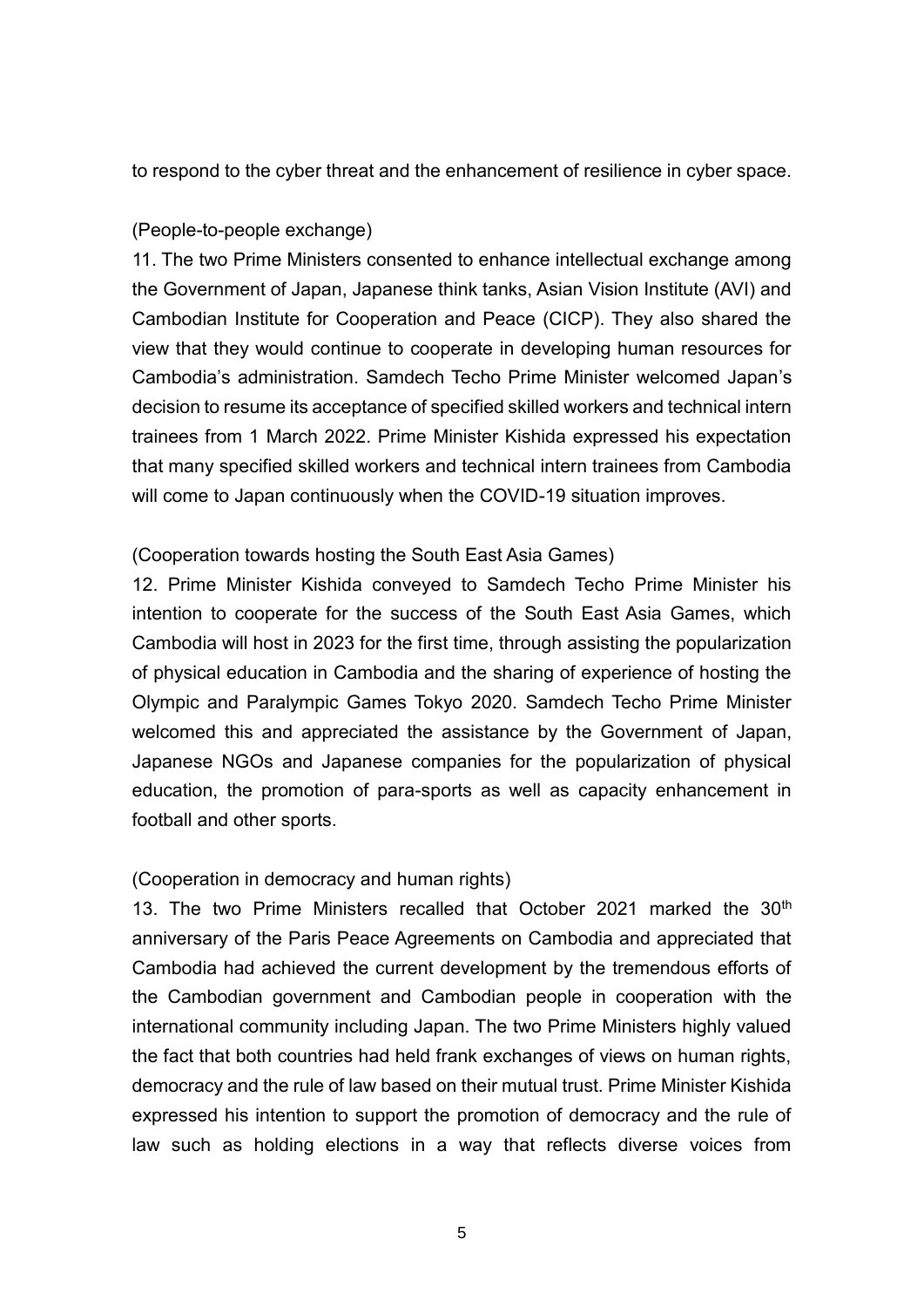to respond to the cyber threat and the enhancement of resilience in cyber space.

## (People-to-people exchange)

11. The two Prime Ministers consented to enhance intellectual exchange among the Government of Japan, Japanese think tanks, Asian Vision Institute (AVI) and Cambodian Institute for Cooperation and Peace (CICP). They also shared the view that they would continue to cooperate in developing human resources for Cambodia's administration. Samdech Techo Prime Minister welcomed Japan's decision to resume its acceptance of specified skilled workers and technical intern trainees from 1 March 2022. Prime Minister Kishida expressed his expectation that many specified skilled workers and technical intern trainees from Cambodia will come to Japan continuously when the COVID-19 situation improves.

## (Cooperation towards hosting the South East Asia Games)

12. Prime Minister Kishida conveyed to Samdech Techo Prime Minister his intention to cooperate for the success of the South East Asia Games, which Cambodia will host in 2023 for the first time, through assisting the popularization of physical education in Cambodia and the sharing of experience of hosting the Olympic and Paralympic Games Tokyo 2020. Samdech Techo Prime Minister welcomed this and appreciated the assistance by the Government of Japan, Japanese NGOs and Japanese companies for the popularization of physical education, the promotion of para-sports as well as capacity enhancement in football and other sports.

## (Cooperation in democracy and human rights)

13. The two Prime Ministers recalled that October 2021 marked the  $30<sup>th</sup>$ anniversary of the Paris Peace Agreements on Cambodia and appreciated that Cambodia had achieved the current development by the tremendous efforts of the Cambodian government and Cambodian people in cooperation with the international community including Japan. The two Prime Ministers highly valued the fact that both countries had held frank exchanges of views on human rights, democracy and the rule of law based on their mutual trust. Prime Minister Kishida expressed his intention to support the promotion of democracy and the rule of law such as holding elections in a way that reflects diverse voices from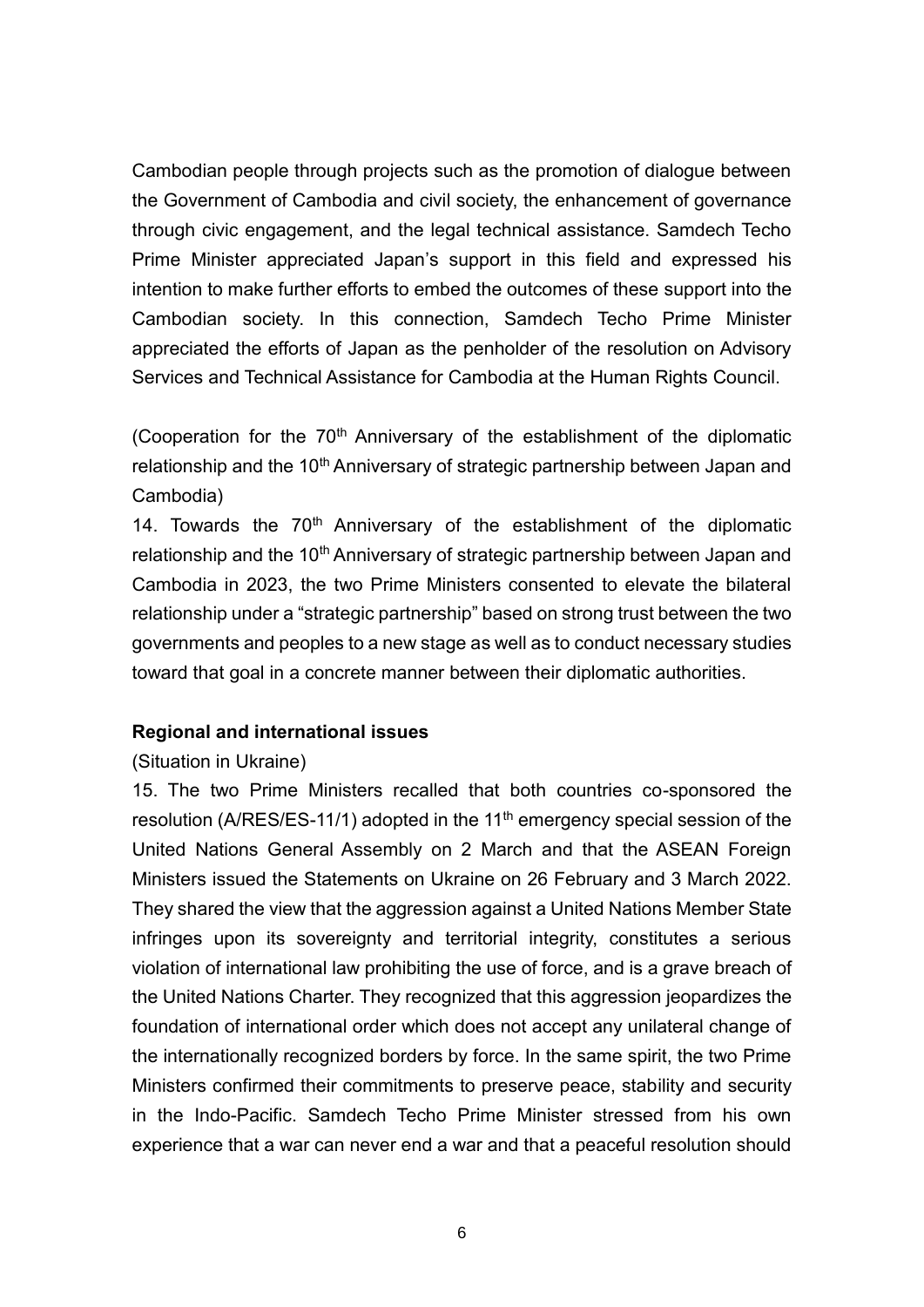Cambodian people through projects such as the promotion of dialogue between the Government of Cambodia and civil society, the enhancement of governance through civic engagement, and the legal technical assistance. Samdech Techo Prime Minister appreciated Japan's support in this field and expressed his intention to make further efforts to embed the outcomes of these support into the Cambodian society. In this connection, Samdech Techo Prime Minister appreciated the efforts of Japan as the penholder of the resolution on Advisory Services and Technical Assistance for Cambodia at the Human Rights Council.

(Cooperation for the  $70<sup>th</sup>$  Anniversary of the establishment of the diplomatic relationship and the 10<sup>th</sup> Anniversary of strategic partnership between Japan and Cambodia)

14. Towards the  $70<sup>th</sup>$  Anniversary of the establishment of the diplomatic relationship and the 10<sup>th</sup> Anniversary of strategic partnership between Japan and Cambodia in 2023, the two Prime Ministers consented to elevate the bilateral relationship under a "strategic partnership" based on strong trust between the two governments and peoples to a new stage as well as to conduct necessary studies toward that goal in a concrete manner between their diplomatic authorities.

## **Regional and international issues**

#### (Situation in Ukraine)

15. The two Prime Ministers recalled that both countries co-sponsored the resolution (A/RES/ES-11/1) adopted in the 11<sup>th</sup> emergency special session of the United Nations General Assembly on 2 March and that the ASEAN Foreign Ministers issued the Statements on Ukraine on 26 February and 3 March 2022. They shared the view that the aggression against a United Nations Member State infringes upon its sovereignty and territorial integrity, constitutes a serious violation of international law prohibiting the use of force, and is a grave breach of the United Nations Charter. They recognized that this aggression jeopardizes the foundation of international order which does not accept any unilateral change of the internationally recognized borders by force. In the same spirit, the two Prime Ministers confirmed their commitments to preserve peace, stability and security in the Indo-Pacific. Samdech Techo Prime Minister stressed from his own experience that a war can never end a war and that a peaceful resolution should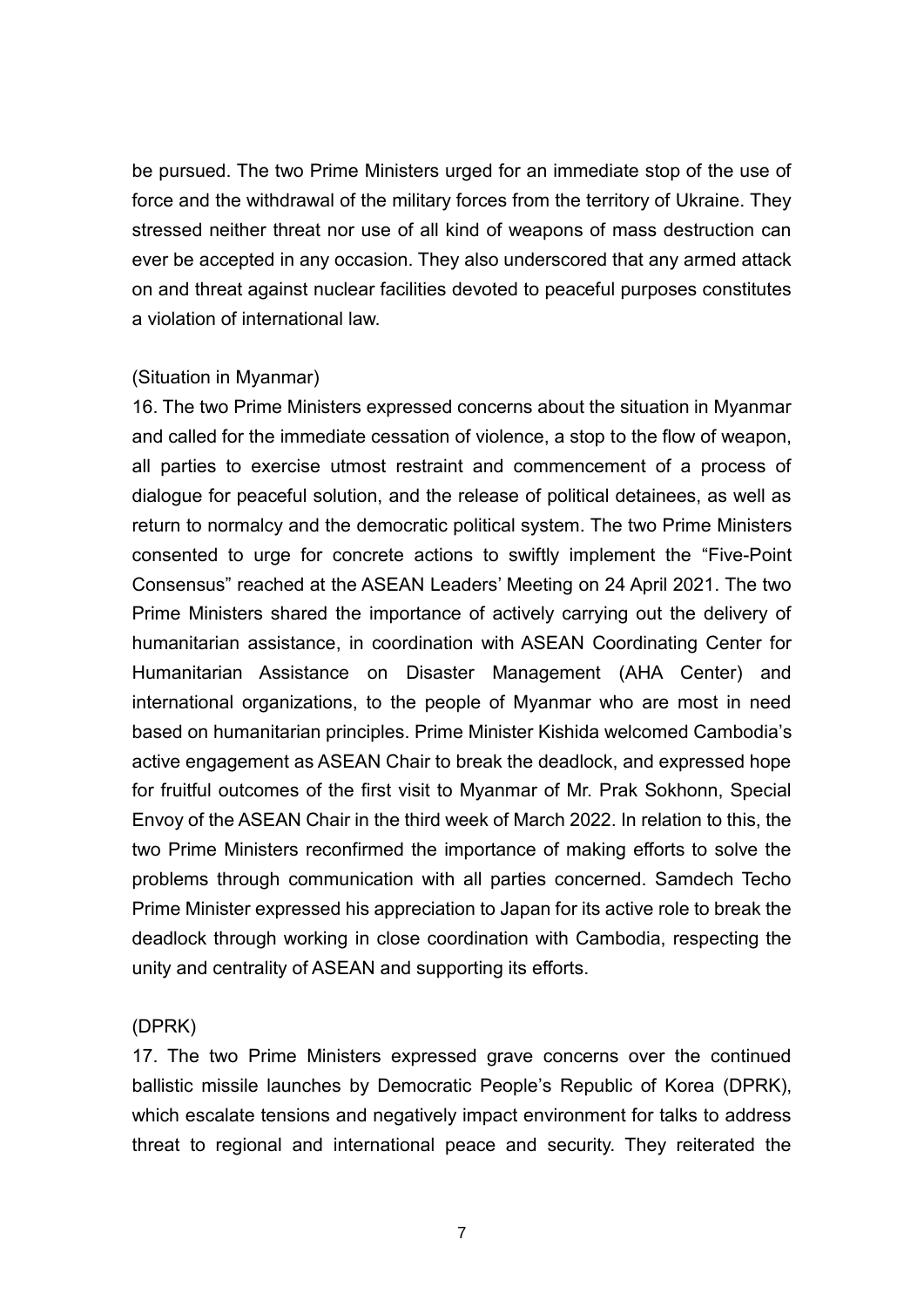be pursued. The two Prime Ministers urged for an immediate stop of the use of force and the withdrawal of the military forces from the territory of Ukraine. They stressed neither threat nor use of all kind of weapons of mass destruction can ever be accepted in any occasion. They also underscored that any armed attack on and threat against nuclear facilities devoted to peaceful purposes constitutes a violation of international law.

### (Situation in Myanmar)

16. The two Prime Ministers expressed concerns about the situation in Myanmar and called for the immediate cessation of violence, a stop to the flow of weapon, all parties to exercise utmost restraint and commencement of a process of dialogue for peaceful solution, and the release of political detainees, as well as return to normalcy and the democratic political system. The two Prime Ministers consented to urge for concrete actions to swiftly implement the "Five-Point Consensus" reached at the ASEAN Leaders' Meeting on 24 April 2021. The two Prime Ministers shared the importance of actively carrying out the delivery of humanitarian assistance, in coordination with ASEAN Coordinating Center for Humanitarian Assistance on Disaster Management (AHA Center) and international organizations, to the people of Myanmar who are most in need based on humanitarian principles. Prime Minister Kishida welcomed Cambodia's active engagement as ASEAN Chair to break the deadlock, and expressed hope for fruitful outcomes of the first visit to Myanmar of Mr. Prak Sokhonn, Special Envoy of the ASEAN Chair in the third week of March 2022. In relation to this, the two Prime Ministers reconfirmed the importance of making efforts to solve the problems through communication with all parties concerned. Samdech Techo Prime Minister expressed his appreciation to Japan for its active role to break the deadlock through working in close coordination with Cambodia, respecting the unity and centrality of ASEAN and supporting its efforts.

## (DPRK)

17. The two Prime Ministers expressed grave concerns over the continued ballistic missile launches by Democratic People's Republic of Korea (DPRK), which escalate tensions and negatively impact environment for talks to address threat to regional and international peace and security. They reiterated the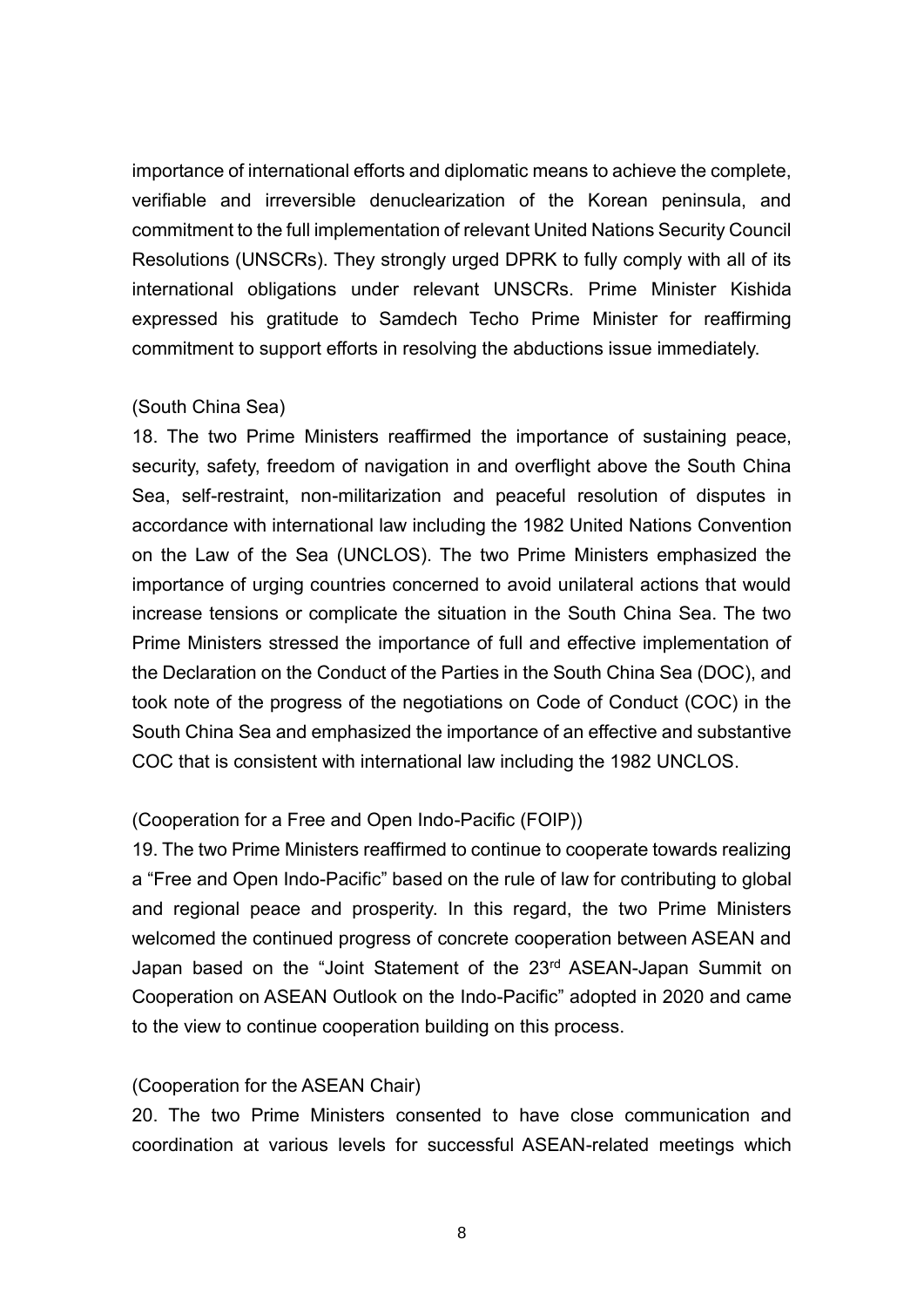importance of international efforts and diplomatic means to achieve the complete, verifiable and irreversible denuclearization of the Korean peninsula, and commitment to the full implementation of relevant United Nations Security Council Resolutions (UNSCRs). They strongly urged DPRK to fully comply with all of its international obligations under relevant UNSCRs. Prime Minister Kishida expressed his gratitude to Samdech Techo Prime Minister for reaffirming commitment to support efforts in resolving the abductions issue immediately.

## (South China Sea)

18. The two Prime Ministers reaffirmed the importance of sustaining peace, security, safety, freedom of navigation in and overflight above the South China Sea, self-restraint, non-militarization and peaceful resolution of disputes in accordance with international law including the 1982 United Nations Convention on the Law of the Sea (UNCLOS). The two Prime Ministers emphasized the importance of urging countries concerned to avoid unilateral actions that would increase tensions or complicate the situation in the South China Sea. The two Prime Ministers stressed the importance of full and effective implementation of the Declaration on the Conduct of the Parties in the South China Sea (DOC), and took note of the progress of the negotiations on Code of Conduct (COC) in the South China Sea and emphasized the importance of an effective and substantive COC that is consistent with international law including the 1982 UNCLOS.

# (Cooperation for a Free and Open Indo-Pacific (FOIP))

19. The two Prime Ministers reaffirmed to continue to cooperate towards realizing a "Free and Open Indo-Pacific" based on the rule of law for contributing to global and regional peace and prosperity. In this regard, the two Prime Ministers welcomed the continued progress of concrete cooperation between ASEAN and Japan based on the "Joint Statement of the 23<sup>rd</sup> ASEAN-Japan Summit on Cooperation on ASEAN Outlook on the Indo-Pacific" adopted in 2020 and came to the view to continue cooperation building on this process.

## (Cooperation for the ASEAN Chair)

20. The two Prime Ministers consented to have close communication and coordination at various levels for successful ASEAN-related meetings which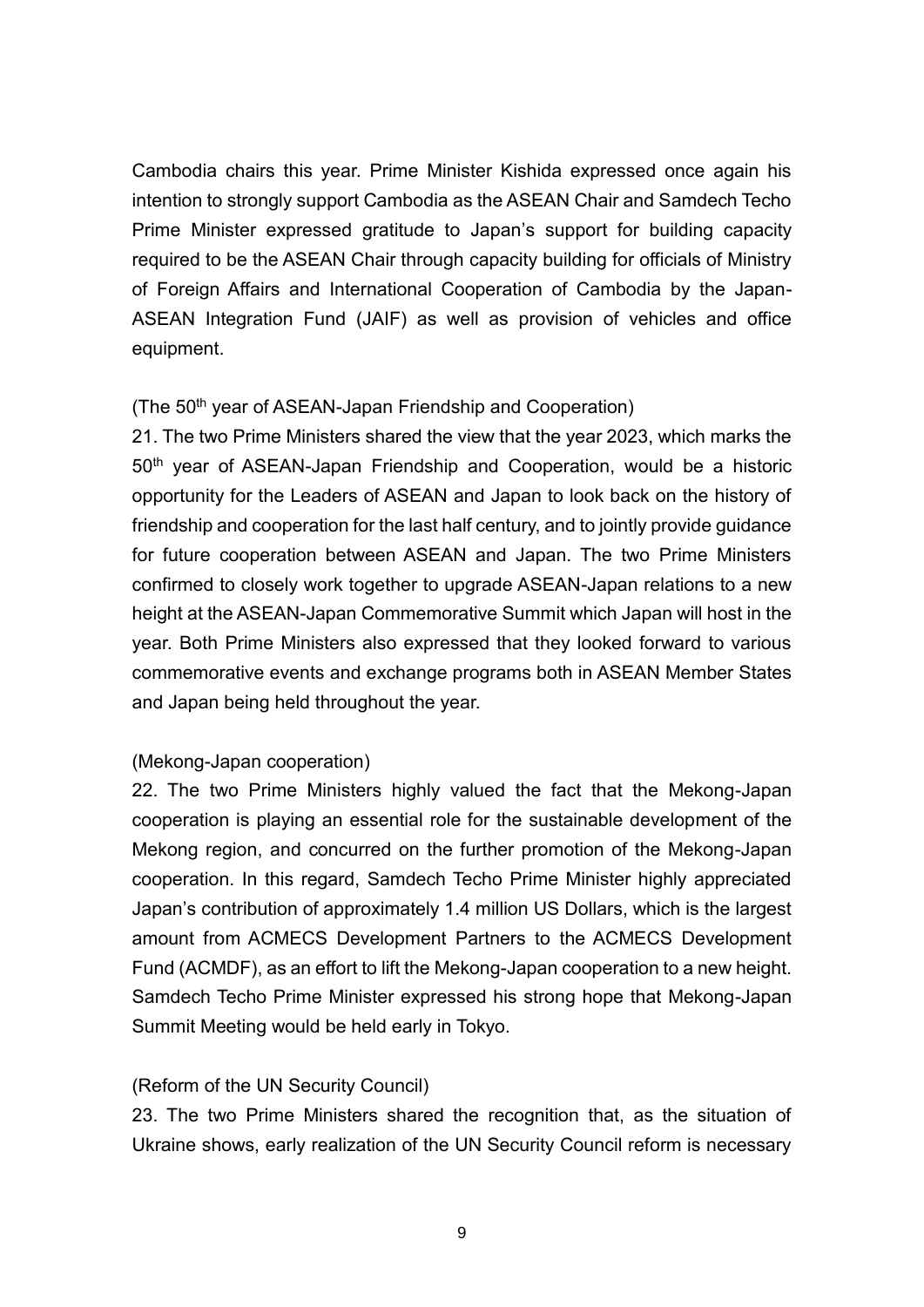Cambodia chairs this year. Prime Minister Kishida expressed once again his intention to strongly support Cambodia as the ASEAN Chair and Samdech Techo Prime Minister expressed gratitude to Japan's support for building capacity required to be the ASEAN Chair through capacity building for officials of Ministry of Foreign Affairs and International Cooperation of Cambodia by the Japan-ASEAN Integration Fund (JAIF) as well as provision of vehicles and office equipment.

# (The 50<sup>th</sup> year of ASEAN-Japan Friendship and Cooperation)

21. The two Prime Ministers shared the view that the year 2023, which marks the 50<sup>th</sup> year of ASEAN-Japan Friendship and Cooperation, would be a historic opportunity for the Leaders of ASEAN and Japan to look back on the history of friendship and cooperation for the last half century, and to jointly provide guidance for future cooperation between ASEAN and Japan. The two Prime Ministers confirmed to closely work together to upgrade ASEAN-Japan relations to a new height at the ASEAN-Japan Commemorative Summit which Japan will host in the year. Both Prime Ministers also expressed that they looked forward to various commemorative events and exchange programs both in ASEAN Member States and Japan being held throughout the year.

# (Mekong-Japan cooperation)

22. The two Prime Ministers highly valued the fact that the Mekong-Japan cooperation is playing an essential role for the sustainable development of the Mekong region, and concurred on the further promotion of the Mekong-Japan cooperation. In this regard, Samdech Techo Prime Minister highly appreciated Japan's contribution of approximately 1.4 million US Dollars, which is the largest amount from ACMECS Development Partners to the ACMECS Development Fund (ACMDF), as an effort to lift the Mekong-Japan cooperation to a new height. Samdech Techo Prime Minister expressed his strong hope that Mekong-Japan Summit Meeting would be held early in Tokyo.

# (Reform of the UN Security Council)

23. The two Prime Ministers shared the recognition that, as the situation of Ukraine shows, early realization of the UN Security Council reform is necessary